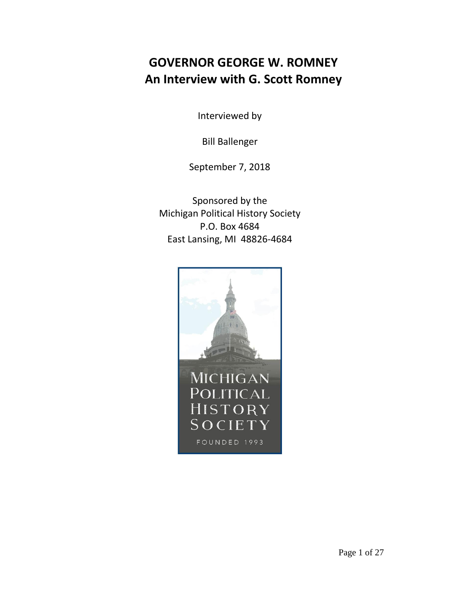## **GOVERNOR GEORGE W. ROMNEY An Interview with G. Scott Romney**

Interviewed by

Bill Ballenger

September 7, 2018

Sponsored by the Michigan Political History Society P.O. Box 4684 East Lansing, MI 48826-4684

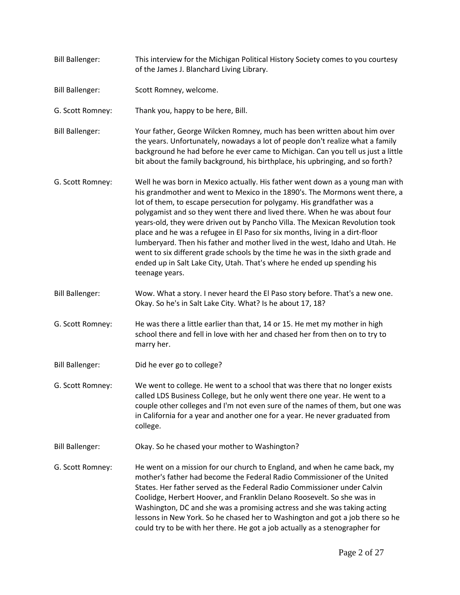Bill Ballenger: This interview for the Michigan Political History Society comes to you courtesy of the James J. Blanchard Living Library. Bill Ballenger: Scott Romney, welcome. G. Scott Romney: Thank you, happy to be here, Bill. Bill Ballenger: Your father, George Wilcken Romney, much has been written about him over the years. Unfortunately, nowadays a lot of people don't realize what a family background he had before he ever came to Michigan. Can you tell us just a little bit about the family background, his birthplace, his upbringing, and so forth? G. Scott Romney: Well he was born in Mexico actually. His father went down as a young man with his grandmother and went to Mexico in the 1890's. The Mormons went there, a lot of them, to escape persecution for polygamy. His grandfather was a polygamist and so they went there and lived there. When he was about four years-old, they were driven out by Pancho Villa. The Mexican Revolution took place and he was a refugee in El Paso for six months, living in a dirt-floor lumberyard. Then his father and mother lived in the west, Idaho and Utah. He went to six different grade schools by the time he was in the sixth grade and ended up in Salt Lake City, Utah. That's where he ended up spending his teenage years. Bill Ballenger: Wow. What a story. I never heard the El Paso story before. That's a new one. Okay. So he's in Salt Lake City. What? Is he about 17, 18? G. Scott Romney: He was there a little earlier than that, 14 or 15. He met my mother in high school there and fell in love with her and chased her from then on to try to marry her. Bill Ballenger: Did he ever go to college? G. Scott Romney: We went to college. He went to a school that was there that no longer exists called LDS Business College, but he only went there one year. He went to a couple other colleges and I'm not even sure of the names of them, but one was in California for a year and another one for a year. He never graduated from college. Bill Ballenger: Okay. So he chased your mother to Washington? G. Scott Romney: He went on a mission for our church to England, and when he came back, my mother's father had become the Federal Radio Commissioner of the United States. Her father served as the Federal Radio Commissioner under Calvin Coolidge, Herbert Hoover, and Franklin Delano Roosevelt. So she was in Washington, DC and she was a promising actress and she was taking acting lessons in New York. So he chased her to Washington and got a job there so he could try to be with her there. He got a job actually as a stenographer for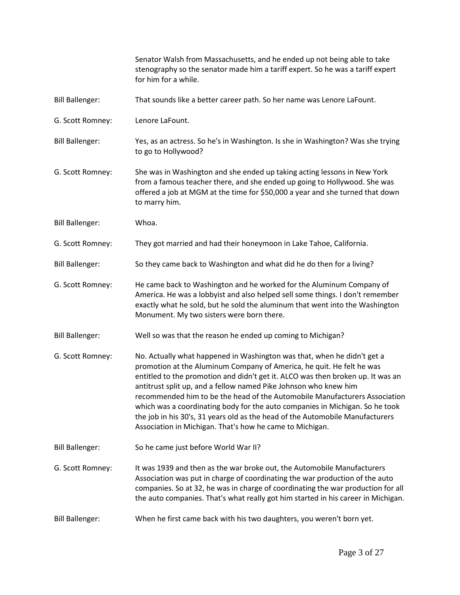|                        | Senator Walsh from Massachusetts, and he ended up not being able to take<br>stenography so the senator made him a tariff expert. So he was a tariff expert<br>for him for a while.                                                                                                                                                                                                                                                                                                                                                                                                                                 |
|------------------------|--------------------------------------------------------------------------------------------------------------------------------------------------------------------------------------------------------------------------------------------------------------------------------------------------------------------------------------------------------------------------------------------------------------------------------------------------------------------------------------------------------------------------------------------------------------------------------------------------------------------|
| <b>Bill Ballenger:</b> | That sounds like a better career path. So her name was Lenore LaFount.                                                                                                                                                                                                                                                                                                                                                                                                                                                                                                                                             |
| G. Scott Romney:       | Lenore LaFount.                                                                                                                                                                                                                                                                                                                                                                                                                                                                                                                                                                                                    |
| <b>Bill Ballenger:</b> | Yes, as an actress. So he's in Washington. Is she in Washington? Was she trying<br>to go to Hollywood?                                                                                                                                                                                                                                                                                                                                                                                                                                                                                                             |
| G. Scott Romney:       | She was in Washington and she ended up taking acting lessons in New York<br>from a famous teacher there, and she ended up going to Hollywood. She was<br>offered a job at MGM at the time for \$50,000 a year and she turned that down<br>to marry him.                                                                                                                                                                                                                                                                                                                                                            |
| <b>Bill Ballenger:</b> | Whoa.                                                                                                                                                                                                                                                                                                                                                                                                                                                                                                                                                                                                              |
| G. Scott Romney:       | They got married and had their honeymoon in Lake Tahoe, California.                                                                                                                                                                                                                                                                                                                                                                                                                                                                                                                                                |
| <b>Bill Ballenger:</b> | So they came back to Washington and what did he do then for a living?                                                                                                                                                                                                                                                                                                                                                                                                                                                                                                                                              |
| G. Scott Romney:       | He came back to Washington and he worked for the Aluminum Company of<br>America. He was a lobbyist and also helped sell some things. I don't remember<br>exactly what he sold, but he sold the aluminum that went into the Washington<br>Monument. My two sisters were born there.                                                                                                                                                                                                                                                                                                                                 |
| <b>Bill Ballenger:</b> | Well so was that the reason he ended up coming to Michigan?                                                                                                                                                                                                                                                                                                                                                                                                                                                                                                                                                        |
| G. Scott Romney:       | No. Actually what happened in Washington was that, when he didn't get a<br>promotion at the Aluminum Company of America, he quit. He felt he was<br>entitled to the promotion and didn't get it. ALCO was then broken up. It was an<br>antitrust split up, and a fellow named Pike Johnson who knew him<br>recommended him to be the head of the Automobile Manufacturers Association<br>which was a coordinating body for the auto companies in Michigan. So he took<br>the job in his 30's, 31 years old as the head of the Automobile Manufacturers<br>Association in Michigan. That's how he came to Michigan. |
| <b>Bill Ballenger:</b> | So he came just before World War II?                                                                                                                                                                                                                                                                                                                                                                                                                                                                                                                                                                               |
| G. Scott Romney:       | It was 1939 and then as the war broke out, the Automobile Manufacturers<br>Association was put in charge of coordinating the war production of the auto<br>companies. So at 32, he was in charge of coordinating the war production for all<br>the auto companies. That's what really got him started in his career in Michigan.                                                                                                                                                                                                                                                                                   |
| <b>Bill Ballenger:</b> | When he first came back with his two daughters, you weren't born yet.                                                                                                                                                                                                                                                                                                                                                                                                                                                                                                                                              |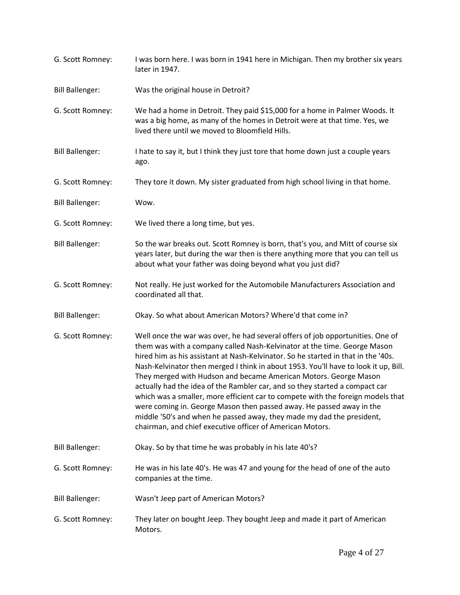| G. Scott Romney:       | I was born here. I was born in 1941 here in Michigan. Then my brother six years<br>later in 1947.                                                                                                                                                                                                                                                                                                                                                                                                                                                                                                                                                                                                                                                                                          |
|------------------------|--------------------------------------------------------------------------------------------------------------------------------------------------------------------------------------------------------------------------------------------------------------------------------------------------------------------------------------------------------------------------------------------------------------------------------------------------------------------------------------------------------------------------------------------------------------------------------------------------------------------------------------------------------------------------------------------------------------------------------------------------------------------------------------------|
| <b>Bill Ballenger:</b> | Was the original house in Detroit?                                                                                                                                                                                                                                                                                                                                                                                                                                                                                                                                                                                                                                                                                                                                                         |
| G. Scott Romney:       | We had a home in Detroit. They paid \$15,000 for a home in Palmer Woods. It<br>was a big home, as many of the homes in Detroit were at that time. Yes, we<br>lived there until we moved to Bloomfield Hills.                                                                                                                                                                                                                                                                                                                                                                                                                                                                                                                                                                               |
| <b>Bill Ballenger:</b> | I hate to say it, but I think they just tore that home down just a couple years<br>ago.                                                                                                                                                                                                                                                                                                                                                                                                                                                                                                                                                                                                                                                                                                    |
| G. Scott Romney:       | They tore it down. My sister graduated from high school living in that home.                                                                                                                                                                                                                                                                                                                                                                                                                                                                                                                                                                                                                                                                                                               |
| <b>Bill Ballenger:</b> | Wow.                                                                                                                                                                                                                                                                                                                                                                                                                                                                                                                                                                                                                                                                                                                                                                                       |
| G. Scott Romney:       | We lived there a long time, but yes.                                                                                                                                                                                                                                                                                                                                                                                                                                                                                                                                                                                                                                                                                                                                                       |
| <b>Bill Ballenger:</b> | So the war breaks out. Scott Romney is born, that's you, and Mitt of course six<br>years later, but during the war then is there anything more that you can tell us<br>about what your father was doing beyond what you just did?                                                                                                                                                                                                                                                                                                                                                                                                                                                                                                                                                          |
| G. Scott Romney:       | Not really. He just worked for the Automobile Manufacturers Association and<br>coordinated all that.                                                                                                                                                                                                                                                                                                                                                                                                                                                                                                                                                                                                                                                                                       |
| <b>Bill Ballenger:</b> | Okay. So what about American Motors? Where'd that come in?                                                                                                                                                                                                                                                                                                                                                                                                                                                                                                                                                                                                                                                                                                                                 |
| G. Scott Romney:       | Well once the war was over, he had several offers of job opportunities. One of<br>them was with a company called Nash-Kelvinator at the time. George Mason<br>hired him as his assistant at Nash-Kelvinator. So he started in that in the '40s.<br>Nash-Kelvinator then merged I think in about 1953. You'll have to look it up, Bill.<br>They merged with Hudson and became American Motors. George Mason<br>actually had the idea of the Rambler car, and so they started a compact car<br>which was a smaller, more efficient car to compete with the foreign models that<br>were coming in. George Mason then passed away. He passed away in the<br>middle '50's and when he passed away, they made my dad the president,<br>chairman, and chief executive officer of American Motors. |
| <b>Bill Ballenger:</b> | Okay. So by that time he was probably in his late 40's?                                                                                                                                                                                                                                                                                                                                                                                                                                                                                                                                                                                                                                                                                                                                    |
| G. Scott Romney:       | He was in his late 40's. He was 47 and young for the head of one of the auto<br>companies at the time.                                                                                                                                                                                                                                                                                                                                                                                                                                                                                                                                                                                                                                                                                     |
| <b>Bill Ballenger:</b> | Wasn't Jeep part of American Motors?                                                                                                                                                                                                                                                                                                                                                                                                                                                                                                                                                                                                                                                                                                                                                       |
| G. Scott Romney:       | They later on bought Jeep. They bought Jeep and made it part of American<br>Motors.                                                                                                                                                                                                                                                                                                                                                                                                                                                                                                                                                                                                                                                                                                        |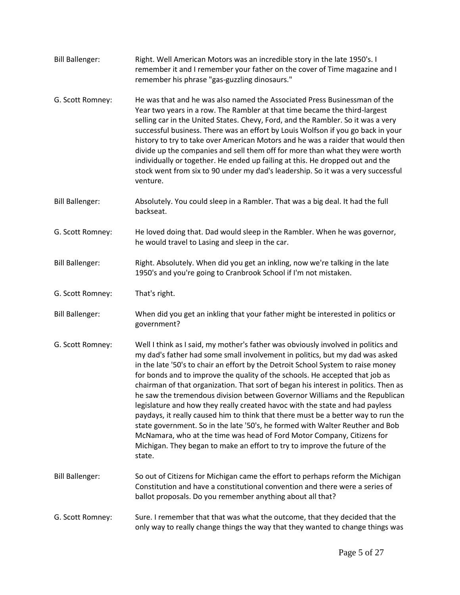| <b>Bill Ballenger:</b> | Right. Well American Motors was an incredible story in the late 1950's. I<br>remember it and I remember your father on the cover of Time magazine and I<br>remember his phrase "gas-guzzling dinosaurs."                                                                                                                                                                                                                                                                                                                                                                                                                                                                                                                                                                                                                                                                                                                            |
|------------------------|-------------------------------------------------------------------------------------------------------------------------------------------------------------------------------------------------------------------------------------------------------------------------------------------------------------------------------------------------------------------------------------------------------------------------------------------------------------------------------------------------------------------------------------------------------------------------------------------------------------------------------------------------------------------------------------------------------------------------------------------------------------------------------------------------------------------------------------------------------------------------------------------------------------------------------------|
| G. Scott Romney:       | He was that and he was also named the Associated Press Businessman of the<br>Year two years in a row. The Rambler at that time became the third-largest<br>selling car in the United States. Chevy, Ford, and the Rambler. So it was a very<br>successful business. There was an effort by Louis Wolfson if you go back in your<br>history to try to take over American Motors and he was a raider that would then<br>divide up the companies and sell them off for more than what they were worth<br>individually or together. He ended up failing at this. He dropped out and the<br>stock went from six to 90 under my dad's leadership. So it was a very successful<br>venture.                                                                                                                                                                                                                                                 |
| <b>Bill Ballenger:</b> | Absolutely. You could sleep in a Rambler. That was a big deal. It had the full<br>backseat.                                                                                                                                                                                                                                                                                                                                                                                                                                                                                                                                                                                                                                                                                                                                                                                                                                         |
| G. Scott Romney:       | He loved doing that. Dad would sleep in the Rambler. When he was governor,<br>he would travel to Lasing and sleep in the car.                                                                                                                                                                                                                                                                                                                                                                                                                                                                                                                                                                                                                                                                                                                                                                                                       |
| <b>Bill Ballenger:</b> | Right. Absolutely. When did you get an inkling, now we're talking in the late<br>1950's and you're going to Cranbrook School if I'm not mistaken.                                                                                                                                                                                                                                                                                                                                                                                                                                                                                                                                                                                                                                                                                                                                                                                   |
| G. Scott Romney:       | That's right.                                                                                                                                                                                                                                                                                                                                                                                                                                                                                                                                                                                                                                                                                                                                                                                                                                                                                                                       |
| <b>Bill Ballenger:</b> | When did you get an inkling that your father might be interested in politics or<br>government?                                                                                                                                                                                                                                                                                                                                                                                                                                                                                                                                                                                                                                                                                                                                                                                                                                      |
| G. Scott Romney:       | Well I think as I said, my mother's father was obviously involved in politics and<br>my dad's father had some small involvement in politics, but my dad was asked<br>in the late '50's to chair an effort by the Detroit School System to raise money<br>for bonds and to improve the quality of the schools. He accepted that job as<br>chairman of that organization. That sort of began his interest in politics. Then as<br>he saw the tremendous division between Governor Williams and the Republican<br>legislature and how they really created havoc with the state and had payless<br>paydays, it really caused him to think that there must be a better way to run the<br>state government. So in the late '50's, he formed with Walter Reuther and Bob<br>McNamara, who at the time was head of Ford Motor Company, Citizens for<br>Michigan. They began to make an effort to try to improve the future of the<br>state. |
| <b>Bill Ballenger:</b> | So out of Citizens for Michigan came the effort to perhaps reform the Michigan<br>Constitution and have a constitutional convention and there were a series of<br>ballot proposals. Do you remember anything about all that?                                                                                                                                                                                                                                                                                                                                                                                                                                                                                                                                                                                                                                                                                                        |
| G. Scott Romney:       | Sure. I remember that that was what the outcome, that they decided that the<br>only way to really change things the way that they wanted to change things was                                                                                                                                                                                                                                                                                                                                                                                                                                                                                                                                                                                                                                                                                                                                                                       |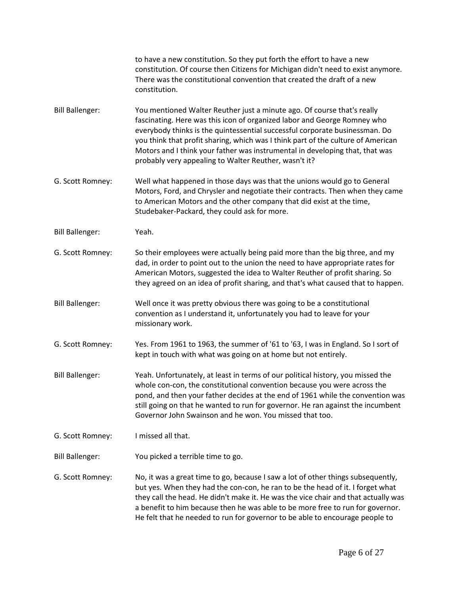|                        | to have a new constitution. So they put forth the effort to have a new<br>constitution. Of course then Citizens for Michigan didn't need to exist anymore.<br>There was the constitutional convention that created the draft of a new<br>constitution.                                                                                                                                                                                                          |
|------------------------|-----------------------------------------------------------------------------------------------------------------------------------------------------------------------------------------------------------------------------------------------------------------------------------------------------------------------------------------------------------------------------------------------------------------------------------------------------------------|
| <b>Bill Ballenger:</b> | You mentioned Walter Reuther just a minute ago. Of course that's really<br>fascinating. Here was this icon of organized labor and George Romney who<br>everybody thinks is the quintessential successful corporate businessman. Do<br>you think that profit sharing, which was I think part of the culture of American<br>Motors and I think your father was instrumental in developing that, that was<br>probably very appealing to Walter Reuther, wasn't it? |
| G. Scott Romney:       | Well what happened in those days was that the unions would go to General<br>Motors, Ford, and Chrysler and negotiate their contracts. Then when they came<br>to American Motors and the other company that did exist at the time,<br>Studebaker-Packard, they could ask for more.                                                                                                                                                                               |
| <b>Bill Ballenger:</b> | Yeah.                                                                                                                                                                                                                                                                                                                                                                                                                                                           |
| G. Scott Romney:       | So their employees were actually being paid more than the big three, and my<br>dad, in order to point out to the union the need to have appropriate rates for<br>American Motors, suggested the idea to Walter Reuther of profit sharing. So<br>they agreed on an idea of profit sharing, and that's what caused that to happen.                                                                                                                                |
| <b>Bill Ballenger:</b> | Well once it was pretty obvious there was going to be a constitutional<br>convention as I understand it, unfortunately you had to leave for your<br>missionary work.                                                                                                                                                                                                                                                                                            |
| G. Scott Romney:       | Yes. From 1961 to 1963, the summer of '61 to '63, I was in England. So I sort of<br>kept in touch with what was going on at home but not entirely.                                                                                                                                                                                                                                                                                                              |
| <b>Bill Ballenger:</b> | Yeah. Unfortunately, at least in terms of our political history, you missed the<br>whole con-con, the constitutional convention because you were across the<br>pond, and then your father decides at the end of 1961 while the convention was<br>still going on that he wanted to run for governor. He ran against the incumbent<br>Governor John Swainson and he won. You missed that too.                                                                     |
| G. Scott Romney:       | I missed all that.                                                                                                                                                                                                                                                                                                                                                                                                                                              |
| <b>Bill Ballenger:</b> | You picked a terrible time to go.                                                                                                                                                                                                                                                                                                                                                                                                                               |
| G. Scott Romney:       | No, it was a great time to go, because I saw a lot of other things subsequently,<br>but yes. When they had the con-con, he ran to be the head of it. I forget what<br>they call the head. He didn't make it. He was the vice chair and that actually was<br>a benefit to him because then he was able to be more free to run for governor.<br>He felt that he needed to run for governor to be able to encourage people to                                      |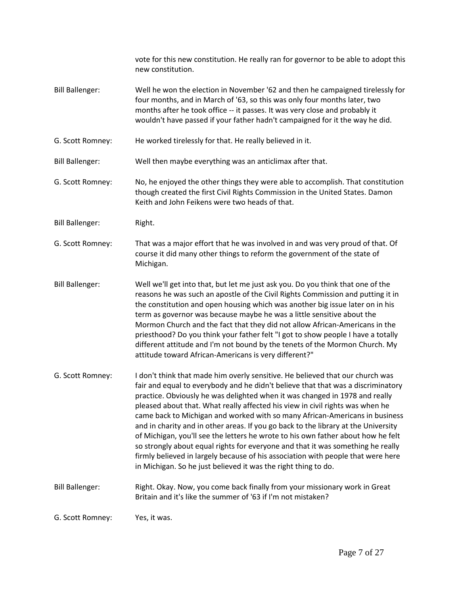|                        | vote for this new constitution. He really ran for governor to be able to adopt this<br>new constitution.                                                                                                                                                                                                                                                                                                                                                                                                                                                                                                                                                                                                                                                                                                                            |
|------------------------|-------------------------------------------------------------------------------------------------------------------------------------------------------------------------------------------------------------------------------------------------------------------------------------------------------------------------------------------------------------------------------------------------------------------------------------------------------------------------------------------------------------------------------------------------------------------------------------------------------------------------------------------------------------------------------------------------------------------------------------------------------------------------------------------------------------------------------------|
| <b>Bill Ballenger:</b> | Well he won the election in November '62 and then he campaigned tirelessly for<br>four months, and in March of '63, so this was only four months later, two<br>months after he took office -- it passes. It was very close and probably it<br>wouldn't have passed if your father hadn't campaigned for it the way he did.                                                                                                                                                                                                                                                                                                                                                                                                                                                                                                          |
| G. Scott Romney:       | He worked tirelessly for that. He really believed in it.                                                                                                                                                                                                                                                                                                                                                                                                                                                                                                                                                                                                                                                                                                                                                                            |
| <b>Bill Ballenger:</b> | Well then maybe everything was an anticlimax after that.                                                                                                                                                                                                                                                                                                                                                                                                                                                                                                                                                                                                                                                                                                                                                                            |
| G. Scott Romney:       | No, he enjoyed the other things they were able to accomplish. That constitution<br>though created the first Civil Rights Commission in the United States. Damon<br>Keith and John Feikens were two heads of that.                                                                                                                                                                                                                                                                                                                                                                                                                                                                                                                                                                                                                   |
| <b>Bill Ballenger:</b> | Right.                                                                                                                                                                                                                                                                                                                                                                                                                                                                                                                                                                                                                                                                                                                                                                                                                              |
| G. Scott Romney:       | That was a major effort that he was involved in and was very proud of that. Of<br>course it did many other things to reform the government of the state of<br>Michigan.                                                                                                                                                                                                                                                                                                                                                                                                                                                                                                                                                                                                                                                             |
| <b>Bill Ballenger:</b> | Well we'll get into that, but let me just ask you. Do you think that one of the<br>reasons he was such an apostle of the Civil Rights Commission and putting it in<br>the constitution and open housing which was another big issue later on in his<br>term as governor was because maybe he was a little sensitive about the<br>Mormon Church and the fact that they did not allow African-Americans in the<br>priesthood? Do you think your father felt "I got to show people I have a totally<br>different attitude and I'm not bound by the tenets of the Mormon Church. My<br>attitude toward African-Americans is very different?"                                                                                                                                                                                            |
| G. Scott Romney:       | I don't think that made him overly sensitive. He believed that our church was<br>fair and equal to everybody and he didn't believe that that was a discriminatory<br>practice. Obviously he was delighted when it was changed in 1978 and really<br>pleased about that. What really affected his view in civil rights was when he<br>came back to Michigan and worked with so many African-Americans in business<br>and in charity and in other areas. If you go back to the library at the University<br>of Michigan, you'll see the letters he wrote to his own father about how he felt<br>so strongly about equal rights for everyone and that it was something he really<br>firmly believed in largely because of his association with people that were here<br>in Michigan. So he just believed it was the right thing to do. |
| <b>Bill Ballenger:</b> | Right. Okay. Now, you come back finally from your missionary work in Great<br>Britain and it's like the summer of '63 if I'm not mistaken?                                                                                                                                                                                                                                                                                                                                                                                                                                                                                                                                                                                                                                                                                          |
| G. Scott Romney:       | Yes, it was.                                                                                                                                                                                                                                                                                                                                                                                                                                                                                                                                                                                                                                                                                                                                                                                                                        |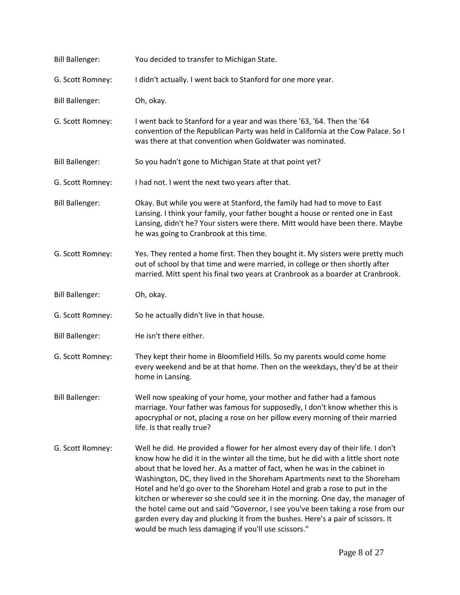| <b>Bill Ballenger:</b> | You decided to transfer to Michigan State.                                                                                                                                                                                                                                                                                                                                                                                                                                                                                                                                                                                                                                                                                          |
|------------------------|-------------------------------------------------------------------------------------------------------------------------------------------------------------------------------------------------------------------------------------------------------------------------------------------------------------------------------------------------------------------------------------------------------------------------------------------------------------------------------------------------------------------------------------------------------------------------------------------------------------------------------------------------------------------------------------------------------------------------------------|
| G. Scott Romney:       | I didn't actually. I went back to Stanford for one more year.                                                                                                                                                                                                                                                                                                                                                                                                                                                                                                                                                                                                                                                                       |
| <b>Bill Ballenger:</b> | Oh, okay.                                                                                                                                                                                                                                                                                                                                                                                                                                                                                                                                                                                                                                                                                                                           |
| G. Scott Romney:       | I went back to Stanford for a year and was there '63, '64. Then the '64<br>convention of the Republican Party was held in California at the Cow Palace. So I<br>was there at that convention when Goldwater was nominated.                                                                                                                                                                                                                                                                                                                                                                                                                                                                                                          |
| <b>Bill Ballenger:</b> | So you hadn't gone to Michigan State at that point yet?                                                                                                                                                                                                                                                                                                                                                                                                                                                                                                                                                                                                                                                                             |
| G. Scott Romney:       | I had not. I went the next two years after that.                                                                                                                                                                                                                                                                                                                                                                                                                                                                                                                                                                                                                                                                                    |
| <b>Bill Ballenger:</b> | Okay. But while you were at Stanford, the family had had to move to East<br>Lansing. I think your family, your father bought a house or rented one in East<br>Lansing, didn't he? Your sisters were there. Mitt would have been there. Maybe<br>he was going to Cranbrook at this time.                                                                                                                                                                                                                                                                                                                                                                                                                                             |
| G. Scott Romney:       | Yes. They rented a home first. Then they bought it. My sisters were pretty much<br>out of school by that time and were married, in college or then shortly after<br>married. Mitt spent his final two years at Cranbrook as a boarder at Cranbrook.                                                                                                                                                                                                                                                                                                                                                                                                                                                                                 |
| <b>Bill Ballenger:</b> | Oh, okay.                                                                                                                                                                                                                                                                                                                                                                                                                                                                                                                                                                                                                                                                                                                           |
| G. Scott Romney:       | So he actually didn't live in that house.                                                                                                                                                                                                                                                                                                                                                                                                                                                                                                                                                                                                                                                                                           |
| <b>Bill Ballenger:</b> | He isn't there either.                                                                                                                                                                                                                                                                                                                                                                                                                                                                                                                                                                                                                                                                                                              |
| G. Scott Romney:       | They kept their home in Bloomfield Hills. So my parents would come home<br>every weekend and be at that home. Then on the weekdays, they'd be at their<br>home in Lansing.                                                                                                                                                                                                                                                                                                                                                                                                                                                                                                                                                          |
| <b>Bill Ballenger:</b> | Well now speaking of your home, your mother and father had a famous<br>marriage. Your father was famous for supposedly, I don't know whether this is<br>apocryphal or not, placing a rose on her pillow every morning of their married<br>life. Is that really true?                                                                                                                                                                                                                                                                                                                                                                                                                                                                |
| G. Scott Romney:       | Well he did. He provided a flower for her almost every day of their life. I don't<br>know how he did it in the winter all the time, but he did with a little short note<br>about that he loved her. As a matter of fact, when he was in the cabinet in<br>Washington, DC, they lived in the Shoreham Apartments next to the Shoreham<br>Hotel and he'd go over to the Shoreham Hotel and grab a rose to put in the<br>kitchen or wherever so she could see it in the morning. One day, the manager of<br>the hotel came out and said "Governor, I see you've been taking a rose from our<br>garden every day and plucking it from the bushes. Here's a pair of scissors. It<br>would be much less damaging if you'll use scissors." |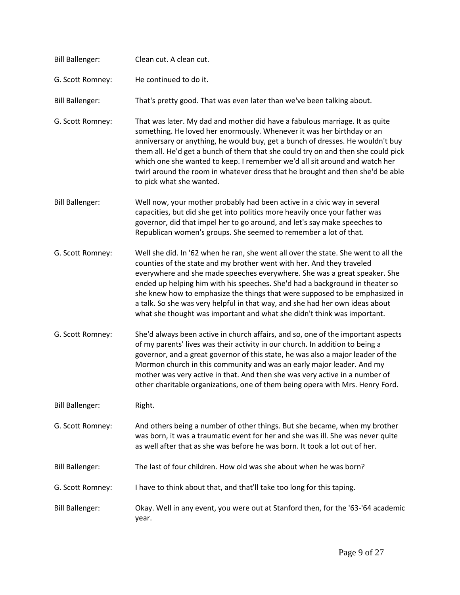| <b>Bill Ballenger:</b> | Clean cut. A clean cut.                                                                                                                                                                                                                                                                                                                                                                                                                                                                                                                                            |
|------------------------|--------------------------------------------------------------------------------------------------------------------------------------------------------------------------------------------------------------------------------------------------------------------------------------------------------------------------------------------------------------------------------------------------------------------------------------------------------------------------------------------------------------------------------------------------------------------|
| G. Scott Romney:       | He continued to do it.                                                                                                                                                                                                                                                                                                                                                                                                                                                                                                                                             |
| <b>Bill Ballenger:</b> | That's pretty good. That was even later than we've been talking about.                                                                                                                                                                                                                                                                                                                                                                                                                                                                                             |
| G. Scott Romney:       | That was later. My dad and mother did have a fabulous marriage. It as quite<br>something. He loved her enormously. Whenever it was her birthday or an<br>anniversary or anything, he would buy, get a bunch of dresses. He wouldn't buy<br>them all. He'd get a bunch of them that she could try on and then she could pick<br>which one she wanted to keep. I remember we'd all sit around and watch her<br>twirl around the room in whatever dress that he brought and then she'd be able<br>to pick what she wanted.                                            |
| <b>Bill Ballenger:</b> | Well now, your mother probably had been active in a civic way in several<br>capacities, but did she get into politics more heavily once your father was<br>governor, did that impel her to go around, and let's say make speeches to<br>Republican women's groups. She seemed to remember a lot of that.                                                                                                                                                                                                                                                           |
| G. Scott Romney:       | Well she did. In '62 when he ran, she went all over the state. She went to all the<br>counties of the state and my brother went with her. And they traveled<br>everywhere and she made speeches everywhere. She was a great speaker. She<br>ended up helping him with his speeches. She'd had a background in theater so<br>she knew how to emphasize the things that were supposed to be emphasized in<br>a talk. So she was very helpful in that way, and she had her own ideas about<br>what she thought was important and what she didn't think was important. |
| G. Scott Romney:       | She'd always been active in church affairs, and so, one of the important aspects<br>of my parents' lives was their activity in our church. In addition to being a<br>governor, and a great governor of this state, he was also a major leader of the<br>Mormon church in this community and was an early major leader. And my<br>mother was very active in that. And then she was very active in a number of<br>other charitable organizations, one of them being opera with Mrs. Henry Ford.                                                                      |
| <b>Bill Ballenger:</b> | Right.                                                                                                                                                                                                                                                                                                                                                                                                                                                                                                                                                             |
| G. Scott Romney:       | And others being a number of other things. But she became, when my brother<br>was born, it was a traumatic event for her and she was ill. She was never quite<br>as well after that as she was before he was born. It took a lot out of her.                                                                                                                                                                                                                                                                                                                       |
| <b>Bill Ballenger:</b> | The last of four children. How old was she about when he was born?                                                                                                                                                                                                                                                                                                                                                                                                                                                                                                 |
| G. Scott Romney:       | I have to think about that, and that'll take too long for this taping.                                                                                                                                                                                                                                                                                                                                                                                                                                                                                             |
| <b>Bill Ballenger:</b> | Okay. Well in any event, you were out at Stanford then, for the '63-'64 academic<br>year.                                                                                                                                                                                                                                                                                                                                                                                                                                                                          |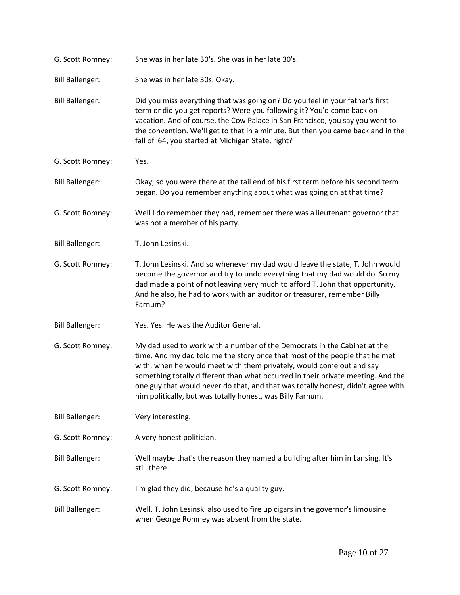| G. Scott Romney:       | She was in her late 30's. She was in her late 30's.                                                                                                                                                                                                                                                                                                                                                                                                                   |
|------------------------|-----------------------------------------------------------------------------------------------------------------------------------------------------------------------------------------------------------------------------------------------------------------------------------------------------------------------------------------------------------------------------------------------------------------------------------------------------------------------|
| <b>Bill Ballenger:</b> | She was in her late 30s. Okay.                                                                                                                                                                                                                                                                                                                                                                                                                                        |
| <b>Bill Ballenger:</b> | Did you miss everything that was going on? Do you feel in your father's first<br>term or did you get reports? Were you following it? You'd come back on<br>vacation. And of course, the Cow Palace in San Francisco, you say you went to<br>the convention. We'll get to that in a minute. But then you came back and in the<br>fall of '64, you started at Michigan State, right?                                                                                    |
| G. Scott Romney:       | Yes.                                                                                                                                                                                                                                                                                                                                                                                                                                                                  |
| <b>Bill Ballenger:</b> | Okay, so you were there at the tail end of his first term before his second term<br>began. Do you remember anything about what was going on at that time?                                                                                                                                                                                                                                                                                                             |
| G. Scott Romney:       | Well I do remember they had, remember there was a lieutenant governor that<br>was not a member of his party.                                                                                                                                                                                                                                                                                                                                                          |
| <b>Bill Ballenger:</b> | T. John Lesinski.                                                                                                                                                                                                                                                                                                                                                                                                                                                     |
| G. Scott Romney:       | T. John Lesinski. And so whenever my dad would leave the state, T. John would<br>become the governor and try to undo everything that my dad would do. So my<br>dad made a point of not leaving very much to afford T. John that opportunity.<br>And he also, he had to work with an auditor or treasurer, remember Billy<br>Farnum?                                                                                                                                   |
| <b>Bill Ballenger:</b> | Yes. Yes. He was the Auditor General.                                                                                                                                                                                                                                                                                                                                                                                                                                 |
| G. Scott Romney:       | My dad used to work with a number of the Democrats in the Cabinet at the<br>time. And my dad told me the story once that most of the people that he met<br>with, when he would meet with them privately, would come out and say<br>something totally different than what occurred in their private meeting. And the<br>one guy that would never do that, and that was totally honest, didn't agree with<br>him politically, but was totally honest, was Billy Farnum. |
| <b>Bill Ballenger:</b> | Very interesting.                                                                                                                                                                                                                                                                                                                                                                                                                                                     |
| G. Scott Romney:       | A very honest politician.                                                                                                                                                                                                                                                                                                                                                                                                                                             |
| <b>Bill Ballenger:</b> | Well maybe that's the reason they named a building after him in Lansing. It's<br>still there.                                                                                                                                                                                                                                                                                                                                                                         |
| G. Scott Romney:       | I'm glad they did, because he's a quality guy.                                                                                                                                                                                                                                                                                                                                                                                                                        |
| <b>Bill Ballenger:</b> | Well, T. John Lesinski also used to fire up cigars in the governor's limousine<br>when George Romney was absent from the state.                                                                                                                                                                                                                                                                                                                                       |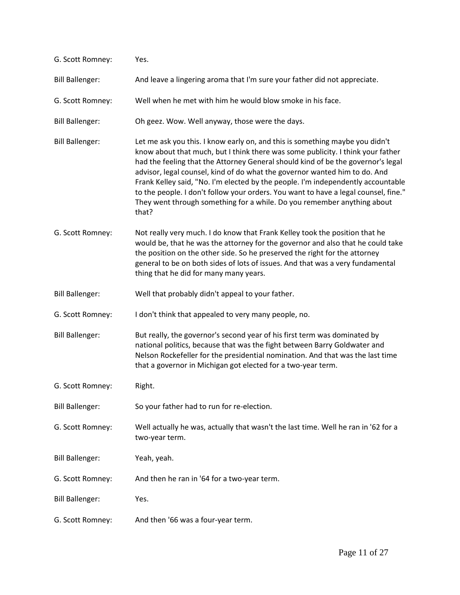| G. Scott Romney:       | Yes.                                                                                                                                                                                                                                                                                                                                                                                                                                                                                                                                                                                             |
|------------------------|--------------------------------------------------------------------------------------------------------------------------------------------------------------------------------------------------------------------------------------------------------------------------------------------------------------------------------------------------------------------------------------------------------------------------------------------------------------------------------------------------------------------------------------------------------------------------------------------------|
| <b>Bill Ballenger:</b> | And leave a lingering aroma that I'm sure your father did not appreciate.                                                                                                                                                                                                                                                                                                                                                                                                                                                                                                                        |
| G. Scott Romney:       | Well when he met with him he would blow smoke in his face.                                                                                                                                                                                                                                                                                                                                                                                                                                                                                                                                       |
| <b>Bill Ballenger:</b> | Oh geez. Wow. Well anyway, those were the days.                                                                                                                                                                                                                                                                                                                                                                                                                                                                                                                                                  |
| <b>Bill Ballenger:</b> | Let me ask you this. I know early on, and this is something maybe you didn't<br>know about that much, but I think there was some publicity. I think your father<br>had the feeling that the Attorney General should kind of be the governor's legal<br>advisor, legal counsel, kind of do what the governor wanted him to do. And<br>Frank Kelley said, "No. I'm elected by the people. I'm independently accountable<br>to the people. I don't follow your orders. You want to have a legal counsel, fine."<br>They went through something for a while. Do you remember anything about<br>that? |
| G. Scott Romney:       | Not really very much. I do know that Frank Kelley took the position that he<br>would be, that he was the attorney for the governor and also that he could take<br>the position on the other side. So he preserved the right for the attorney<br>general to be on both sides of lots of issues. And that was a very fundamental<br>thing that he did for many many years.                                                                                                                                                                                                                         |
| <b>Bill Ballenger:</b> | Well that probably didn't appeal to your father.                                                                                                                                                                                                                                                                                                                                                                                                                                                                                                                                                 |
| G. Scott Romney:       | I don't think that appealed to very many people, no.                                                                                                                                                                                                                                                                                                                                                                                                                                                                                                                                             |
| <b>Bill Ballenger:</b> | But really, the governor's second year of his first term was dominated by<br>national politics, because that was the fight between Barry Goldwater and<br>Nelson Rockefeller for the presidential nomination. And that was the last time<br>that a governor in Michigan got elected for a two-year term.                                                                                                                                                                                                                                                                                         |
| G. Scott Romney:       | Right.                                                                                                                                                                                                                                                                                                                                                                                                                                                                                                                                                                                           |
| <b>Bill Ballenger:</b> | So your father had to run for re-election.                                                                                                                                                                                                                                                                                                                                                                                                                                                                                                                                                       |
| G. Scott Romney:       | Well actually he was, actually that wasn't the last time. Well he ran in '62 for a<br>two-year term.                                                                                                                                                                                                                                                                                                                                                                                                                                                                                             |
| <b>Bill Ballenger:</b> | Yeah, yeah.                                                                                                                                                                                                                                                                                                                                                                                                                                                                                                                                                                                      |
| G. Scott Romney:       | And then he ran in '64 for a two-year term.                                                                                                                                                                                                                                                                                                                                                                                                                                                                                                                                                      |
| <b>Bill Ballenger:</b> | Yes.                                                                                                                                                                                                                                                                                                                                                                                                                                                                                                                                                                                             |
| G. Scott Romney:       | And then '66 was a four-year term.                                                                                                                                                                                                                                                                                                                                                                                                                                                                                                                                                               |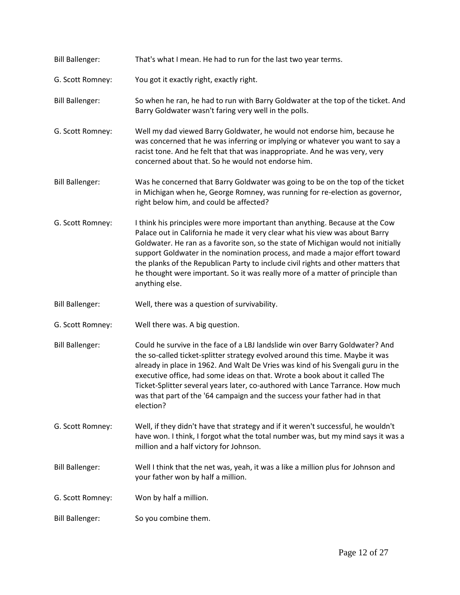| <b>Bill Ballenger:</b> | That's what I mean. He had to run for the last two year terms.                                                                                                                                                                                                                                                                                                                                                                                                                                                            |
|------------------------|---------------------------------------------------------------------------------------------------------------------------------------------------------------------------------------------------------------------------------------------------------------------------------------------------------------------------------------------------------------------------------------------------------------------------------------------------------------------------------------------------------------------------|
| G. Scott Romney:       | You got it exactly right, exactly right.                                                                                                                                                                                                                                                                                                                                                                                                                                                                                  |
| <b>Bill Ballenger:</b> | So when he ran, he had to run with Barry Goldwater at the top of the ticket. And<br>Barry Goldwater wasn't faring very well in the polls.                                                                                                                                                                                                                                                                                                                                                                                 |
| G. Scott Romney:       | Well my dad viewed Barry Goldwater, he would not endorse him, because he<br>was concerned that he was inferring or implying or whatever you want to say a<br>racist tone. And he felt that that was inappropriate. And he was very, very<br>concerned about that. So he would not endorse him.                                                                                                                                                                                                                            |
| <b>Bill Ballenger:</b> | Was he concerned that Barry Goldwater was going to be on the top of the ticket<br>in Michigan when he, George Romney, was running for re-election as governor,<br>right below him, and could be affected?                                                                                                                                                                                                                                                                                                                 |
| G. Scott Romney:       | I think his principles were more important than anything. Because at the Cow<br>Palace out in California he made it very clear what his view was about Barry<br>Goldwater. He ran as a favorite son, so the state of Michigan would not initially<br>support Goldwater in the nomination process, and made a major effort toward<br>the planks of the Republican Party to include civil rights and other matters that<br>he thought were important. So it was really more of a matter of principle than<br>anything else. |
| <b>Bill Ballenger:</b> | Well, there was a question of survivability.                                                                                                                                                                                                                                                                                                                                                                                                                                                                              |
| G. Scott Romney:       | Well there was. A big question.                                                                                                                                                                                                                                                                                                                                                                                                                                                                                           |
| <b>Bill Ballenger:</b> | Could he survive in the face of a LBJ landslide win over Barry Goldwater? And<br>the so-called ticket-splitter strategy evolved around this time. Maybe it was<br>already in place in 1962. And Walt De Vries was kind of his Svengali guru in the<br>executive office, had some ideas on that. Wrote a book about it called The<br>Ticket-Splitter several years later, co-authored with Lance Tarrance. How much<br>was that part of the '64 campaign and the success your father had in that<br>election?              |
| G. Scott Romney:       | Well, if they didn't have that strategy and if it weren't successful, he wouldn't<br>have won. I think, I forgot what the total number was, but my mind says it was a<br>million and a half victory for Johnson.                                                                                                                                                                                                                                                                                                          |
| <b>Bill Ballenger:</b> | Well I think that the net was, yeah, it was a like a million plus for Johnson and<br>your father won by half a million.                                                                                                                                                                                                                                                                                                                                                                                                   |
| G. Scott Romney:       | Won by half a million.                                                                                                                                                                                                                                                                                                                                                                                                                                                                                                    |
|                        |                                                                                                                                                                                                                                                                                                                                                                                                                                                                                                                           |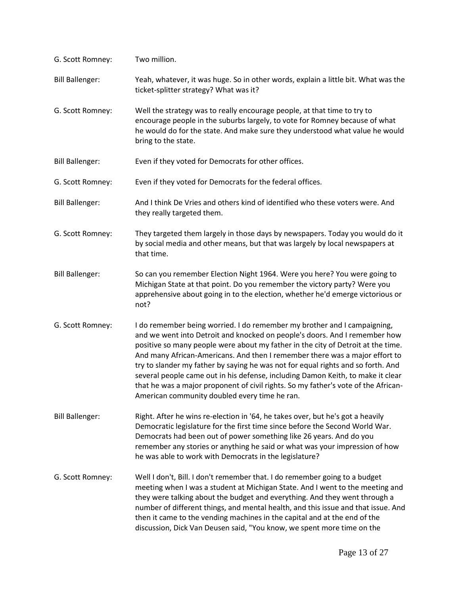| G. Scott Romney:       | Two million.                                                                                                                                                                                                                                                                                                                                                                                                                                                                                                                                                                                                                            |
|------------------------|-----------------------------------------------------------------------------------------------------------------------------------------------------------------------------------------------------------------------------------------------------------------------------------------------------------------------------------------------------------------------------------------------------------------------------------------------------------------------------------------------------------------------------------------------------------------------------------------------------------------------------------------|
| <b>Bill Ballenger:</b> | Yeah, whatever, it was huge. So in other words, explain a little bit. What was the<br>ticket-splitter strategy? What was it?                                                                                                                                                                                                                                                                                                                                                                                                                                                                                                            |
| G. Scott Romney:       | Well the strategy was to really encourage people, at that time to try to<br>encourage people in the suburbs largely, to vote for Romney because of what<br>he would do for the state. And make sure they understood what value he would<br>bring to the state.                                                                                                                                                                                                                                                                                                                                                                          |
| <b>Bill Ballenger:</b> | Even if they voted for Democrats for other offices.                                                                                                                                                                                                                                                                                                                                                                                                                                                                                                                                                                                     |
| G. Scott Romney:       | Even if they voted for Democrats for the federal offices.                                                                                                                                                                                                                                                                                                                                                                                                                                                                                                                                                                               |
| <b>Bill Ballenger:</b> | And I think De Vries and others kind of identified who these voters were. And<br>they really targeted them.                                                                                                                                                                                                                                                                                                                                                                                                                                                                                                                             |
| G. Scott Romney:       | They targeted them largely in those days by newspapers. Today you would do it<br>by social media and other means, but that was largely by local newspapers at<br>that time.                                                                                                                                                                                                                                                                                                                                                                                                                                                             |
| <b>Bill Ballenger:</b> | So can you remember Election Night 1964. Were you here? You were going to<br>Michigan State at that point. Do you remember the victory party? Were you<br>apprehensive about going in to the election, whether he'd emerge victorious or<br>not?                                                                                                                                                                                                                                                                                                                                                                                        |
| G. Scott Romney:       | I do remember being worried. I do remember my brother and I campaigning,<br>and we went into Detroit and knocked on people's doors. And I remember how<br>positive so many people were about my father in the city of Detroit at the time.<br>And many African-Americans. And then I remember there was a major effort to<br>try to slander my father by saying he was not for equal rights and so forth. And<br>several people came out in his defense, including Damon Keith, to make it clear<br>that he was a major proponent of civil rights. So my father's vote of the African-<br>American community doubled every time he ran. |
| <b>Bill Ballenger:</b> | Right. After he wins re-election in '64, he takes over, but he's got a heavily<br>Democratic legislature for the first time since before the Second World War.<br>Democrats had been out of power something like 26 years. And do you<br>remember any stories or anything he said or what was your impression of how<br>he was able to work with Democrats in the legislature?                                                                                                                                                                                                                                                          |
| G. Scott Romney:       | Well I don't, Bill. I don't remember that. I do remember going to a budget<br>meeting when I was a student at Michigan State. And I went to the meeting and<br>they were talking about the budget and everything. And they went through a<br>number of different things, and mental health, and this issue and that issue. And<br>then it came to the vending machines in the capital and at the end of the<br>discussion, Dick Van Deusen said, "You know, we spent more time on the                                                                                                                                                   |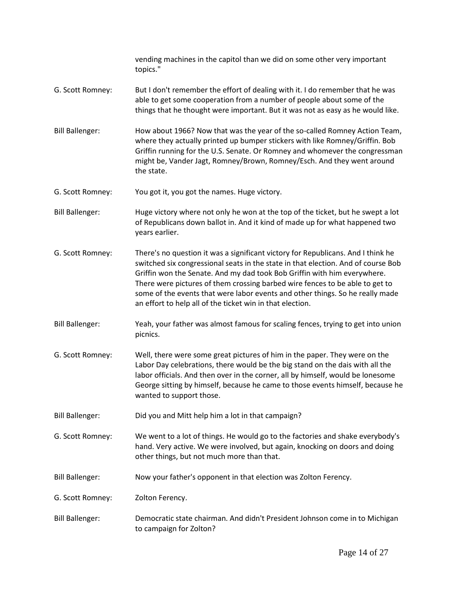vending machines in the capitol than we did on some other very important topics." G. Scott Romney: But I don't remember the effort of dealing with it. I do remember that he was able to get some cooperation from a number of people about some of the things that he thought were important. But it was not as easy as he would like. Bill Ballenger: How about 1966? Now that was the year of the so-called Romney Action Team, where they actually printed up bumper stickers with like Romney/Griffin. Bob Griffin running for the U.S. Senate. Or Romney and whomever the congressman might be, Vander Jagt, Romney/Brown, Romney/Esch. And they went around the state. G. Scott Romney: You got it, you got the names. Huge victory. Bill Ballenger: Huge victory where not only he won at the top of the ticket, but he swept a lot of Republicans down ballot in. And it kind of made up for what happened two years earlier. G. Scott Romney: There's no question it was a significant victory for Republicans. And I think he switched six congressional seats in the state in that election. And of course Bob Griffin won the Senate. And my dad took Bob Griffin with him everywhere. There were pictures of them crossing barbed wire fences to be able to get to some of the events that were labor events and other things. So he really made an effort to help all of the ticket win in that election. Bill Ballenger: Yeah, your father was almost famous for scaling fences, trying to get into union picnics. G. Scott Romney: Well, there were some great pictures of him in the paper. They were on the Labor Day celebrations, there would be the big stand on the dais with all the labor officials. And then over in the corner, all by himself, would be lonesome George sitting by himself, because he came to those events himself, because he wanted to support those. Bill Ballenger: Did you and Mitt help him a lot in that campaign? G. Scott Romney: We went to a lot of things. He would go to the factories and shake everybody's hand. Very active. We were involved, but again, knocking on doors and doing other things, but not much more than that. Bill Ballenger: Now your father's opponent in that election was Zolton Ferency. G. Scott Romney: Zolton Ferency. Bill Ballenger: Democratic state chairman. And didn't President Johnson come in to Michigan to campaign for Zolton?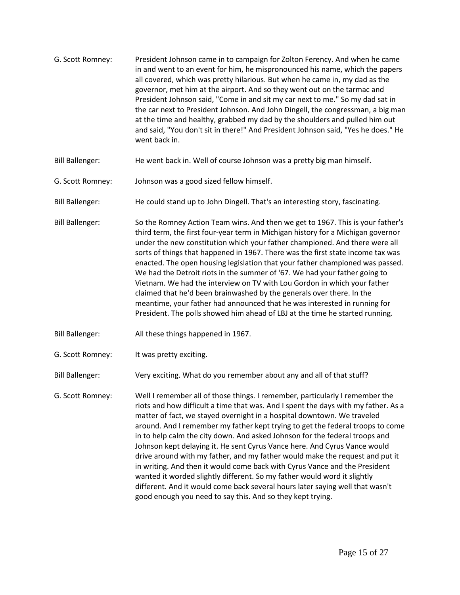| G. Scott Romney:       | President Johnson came in to campaign for Zolton Ferency. And when he came<br>in and went to an event for him, he mispronounced his name, which the papers<br>all covered, which was pretty hilarious. But when he came in, my dad as the<br>governor, met him at the airport. And so they went out on the tarmac and<br>President Johnson said, "Come in and sit my car next to me." So my dad sat in<br>the car next to President Johnson. And John Dingell, the congressman, a big man<br>at the time and healthy, grabbed my dad by the shoulders and pulled him out<br>and said, "You don't sit in there!" And President Johnson said, "Yes he does." He<br>went back in.                                                                                                                                                                                                       |
|------------------------|--------------------------------------------------------------------------------------------------------------------------------------------------------------------------------------------------------------------------------------------------------------------------------------------------------------------------------------------------------------------------------------------------------------------------------------------------------------------------------------------------------------------------------------------------------------------------------------------------------------------------------------------------------------------------------------------------------------------------------------------------------------------------------------------------------------------------------------------------------------------------------------|
| <b>Bill Ballenger:</b> | He went back in. Well of course Johnson was a pretty big man himself.                                                                                                                                                                                                                                                                                                                                                                                                                                                                                                                                                                                                                                                                                                                                                                                                                |
| G. Scott Romney:       | Johnson was a good sized fellow himself.                                                                                                                                                                                                                                                                                                                                                                                                                                                                                                                                                                                                                                                                                                                                                                                                                                             |
| <b>Bill Ballenger:</b> | He could stand up to John Dingell. That's an interesting story, fascinating.                                                                                                                                                                                                                                                                                                                                                                                                                                                                                                                                                                                                                                                                                                                                                                                                         |
| <b>Bill Ballenger:</b> | So the Romney Action Team wins. And then we get to 1967. This is your father's<br>third term, the first four-year term in Michigan history for a Michigan governor<br>under the new constitution which your father championed. And there were all<br>sorts of things that happened in 1967. There was the first state income tax was<br>enacted. The open housing legislation that your father championed was passed.<br>We had the Detroit riots in the summer of '67. We had your father going to<br>Vietnam. We had the interview on TV with Lou Gordon in which your father<br>claimed that he'd been brainwashed by the generals over there. In the<br>meantime, your father had announced that he was interested in running for<br>President. The polls showed him ahead of LBJ at the time he started running.                                                                |
| <b>Bill Ballenger:</b> | All these things happened in 1967.                                                                                                                                                                                                                                                                                                                                                                                                                                                                                                                                                                                                                                                                                                                                                                                                                                                   |
| G. Scott Romney:       | It was pretty exciting.                                                                                                                                                                                                                                                                                                                                                                                                                                                                                                                                                                                                                                                                                                                                                                                                                                                              |
| <b>Bill Ballenger:</b> | Very exciting. What do you remember about any and all of that stuff?                                                                                                                                                                                                                                                                                                                                                                                                                                                                                                                                                                                                                                                                                                                                                                                                                 |
| G. Scott Romney:       | Well I remember all of those things. I remember, particularly I remember the<br>riots and how difficult a time that was. And I spent the days with my father. As a<br>matter of fact, we stayed overnight in a hospital downtown. We traveled<br>around. And I remember my father kept trying to get the federal troops to come<br>in to help calm the city down. And asked Johnson for the federal troops and<br>Johnson kept delaying it. He sent Cyrus Vance here. And Cyrus Vance would<br>drive around with my father, and my father would make the request and put it<br>in writing. And then it would come back with Cyrus Vance and the President<br>wanted it worded slightly different. So my father would word it slightly<br>different. And it would come back several hours later saying well that wasn't<br>good enough you need to say this. And so they kept trying. |
|                        |                                                                                                                                                                                                                                                                                                                                                                                                                                                                                                                                                                                                                                                                                                                                                                                                                                                                                      |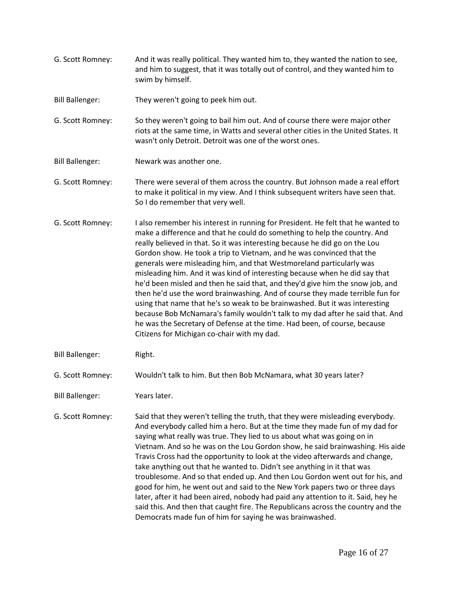- G. Scott Romney: And it was really political. They wanted him to, they wanted the nation to see, and him to suggest, that it was totally out of control, and they wanted him to swim by himself.
- Bill Ballenger: They weren't going to peek him out.
- G. Scott Romney: So they weren't going to bail him out. And of course there were major other riots at the same time, in Watts and several other cities in the United States. It wasn't only Detroit. Detroit was one of the worst ones.
- Bill Ballenger: Newark was another one.
- G. Scott Romney: There were several of them across the country. But Johnson made a real effort to make it political in my view. And I think subsequent writers have seen that. So I do remember that very well.
- G. Scott Romney: I also remember his interest in running for President. He felt that he wanted to make a difference and that he could do something to help the country. And really believed in that. So it was interesting because he did go on the Lou Gordon show. He took a trip to Vietnam, and he was convinced that the generals were misleading him, and that Westmoreland particularly was misleading him. And it was kind of interesting because when he did say that he'd been misled and then he said that, and they'd give him the snow job, and then he'd use the word brainwashing. And of course they made terrible fun for using that name that he's so weak to be brainwashed. But it was interesting because Bob McNamara's family wouldn't talk to my dad after he said that. And he was the Secretary of Defense at the time. Had been, of course, because Citizens for Michigan co-chair with my dad.
- Bill Ballenger: Right.
- G. Scott Romney: Wouldn't talk to him. But then Bob McNamara, what 30 years later?
- Bill Ballenger: Years later.
- G. Scott Romney: Said that they weren't telling the truth, that they were misleading everybody. And everybody called him a hero. But at the time they made fun of my dad for saying what really was true. They lied to us about what was going on in Vietnam. And so he was on the Lou Gordon show, he said brainwashing. His aide Travis Cross had the opportunity to look at the video afterwards and change, take anything out that he wanted to. Didn't see anything in it that was troublesome. And so that ended up. And then Lou Gordon went out for his, and good for him, he went out and said to the New York papers two or three days later, after it had been aired, nobody had paid any attention to it. Said, hey he said this. And then that caught fire. The Republicans across the country and the Democrats made fun of him for saying he was brainwashed.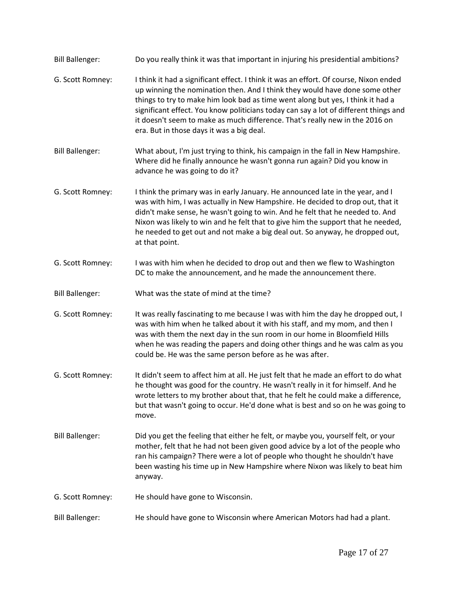| <b>Bill Ballenger:</b> | Do you really think it was that important in injuring his presidential ambitions?                                                                                                                                                                                                                                                                                                                                                                                            |
|------------------------|------------------------------------------------------------------------------------------------------------------------------------------------------------------------------------------------------------------------------------------------------------------------------------------------------------------------------------------------------------------------------------------------------------------------------------------------------------------------------|
| G. Scott Romney:       | I think it had a significant effect. I think it was an effort. Of course, Nixon ended<br>up winning the nomination then. And I think they would have done some other<br>things to try to make him look bad as time went along but yes, I think it had a<br>significant effect. You know politicians today can say a lot of different things and<br>it doesn't seem to make as much difference. That's really new in the 2016 on<br>era. But in those days it was a big deal. |
| <b>Bill Ballenger:</b> | What about, I'm just trying to think, his campaign in the fall in New Hampshire.<br>Where did he finally announce he wasn't gonna run again? Did you know in<br>advance he was going to do it?                                                                                                                                                                                                                                                                               |
| G. Scott Romney:       | I think the primary was in early January. He announced late in the year, and I<br>was with him, I was actually in New Hampshire. He decided to drop out, that it<br>didn't make sense, he wasn't going to win. And he felt that he needed to. And<br>Nixon was likely to win and he felt that to give him the support that he needed,<br>he needed to get out and not make a big deal out. So anyway, he dropped out,<br>at that point.                                      |
| G. Scott Romney:       | I was with him when he decided to drop out and then we flew to Washington<br>DC to make the announcement, and he made the announcement there.                                                                                                                                                                                                                                                                                                                                |
| <b>Bill Ballenger:</b> | What was the state of mind at the time?                                                                                                                                                                                                                                                                                                                                                                                                                                      |
| G. Scott Romney:       | It was really fascinating to me because I was with him the day he dropped out, I<br>was with him when he talked about it with his staff, and my mom, and then I<br>was with them the next day in the sun room in our home in Bloomfield Hills<br>when he was reading the papers and doing other things and he was calm as you<br>could be. He was the same person before as he was after.                                                                                    |
| G. Scott Romney:       | It didn't seem to affect him at all. He just felt that he made an effort to do what<br>he thought was good for the country. He wasn't really in it for himself. And he<br>wrote letters to my brother about that, that he felt he could make a difference,<br>but that wasn't going to occur. He'd done what is best and so on he was going to<br>move.                                                                                                                      |
| <b>Bill Ballenger:</b> | Did you get the feeling that either he felt, or maybe you, yourself felt, or your<br>mother, felt that he had not been given good advice by a lot of the people who<br>ran his campaign? There were a lot of people who thought he shouldn't have<br>been wasting his time up in New Hampshire where Nixon was likely to beat him<br>anyway.                                                                                                                                 |
| G. Scott Romney:       | He should have gone to Wisconsin.                                                                                                                                                                                                                                                                                                                                                                                                                                            |
| <b>Bill Ballenger:</b> | He should have gone to Wisconsin where American Motors had had a plant.                                                                                                                                                                                                                                                                                                                                                                                                      |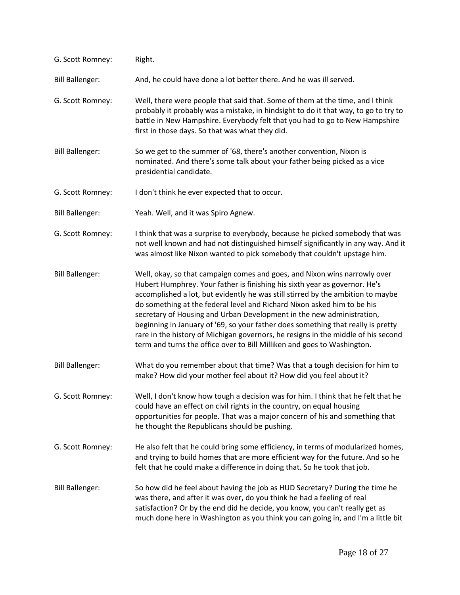| G. Scott Romney:       | Right.                                                                                                                                                                                                                                                                                                                                                                                                                                                                                                                                                                                                                                             |
|------------------------|----------------------------------------------------------------------------------------------------------------------------------------------------------------------------------------------------------------------------------------------------------------------------------------------------------------------------------------------------------------------------------------------------------------------------------------------------------------------------------------------------------------------------------------------------------------------------------------------------------------------------------------------------|
| <b>Bill Ballenger:</b> | And, he could have done a lot better there. And he was ill served.                                                                                                                                                                                                                                                                                                                                                                                                                                                                                                                                                                                 |
| G. Scott Romney:       | Well, there were people that said that. Some of them at the time, and I think<br>probably it probably was a mistake, in hindsight to do it that way, to go to try to<br>battle in New Hampshire. Everybody felt that you had to go to New Hampshire<br>first in those days. So that was what they did.                                                                                                                                                                                                                                                                                                                                             |
| <b>Bill Ballenger:</b> | So we get to the summer of '68, there's another convention, Nixon is<br>nominated. And there's some talk about your father being picked as a vice<br>presidential candidate.                                                                                                                                                                                                                                                                                                                                                                                                                                                                       |
| G. Scott Romney:       | I don't think he ever expected that to occur.                                                                                                                                                                                                                                                                                                                                                                                                                                                                                                                                                                                                      |
| <b>Bill Ballenger:</b> | Yeah. Well, and it was Spiro Agnew.                                                                                                                                                                                                                                                                                                                                                                                                                                                                                                                                                                                                                |
| G. Scott Romney:       | I think that was a surprise to everybody, because he picked somebody that was<br>not well known and had not distinguished himself significantly in any way. And it<br>was almost like Nixon wanted to pick somebody that couldn't upstage him.                                                                                                                                                                                                                                                                                                                                                                                                     |
| <b>Bill Ballenger:</b> | Well, okay, so that campaign comes and goes, and Nixon wins narrowly over<br>Hubert Humphrey. Your father is finishing his sixth year as governor. He's<br>accomplished a lot, but evidently he was still stirred by the ambition to maybe<br>do something at the federal level and Richard Nixon asked him to be his<br>secretary of Housing and Urban Development in the new administration,<br>beginning in January of '69, so your father does something that really is pretty<br>rare in the history of Michigan governors, he resigns in the middle of his second<br>term and turns the office over to Bill Milliken and goes to Washington. |
| <b>Bill Ballenger:</b> | What do you remember about that time? Was that a tough decision for him to<br>make? How did your mother feel about it? How did you feel about it?                                                                                                                                                                                                                                                                                                                                                                                                                                                                                                  |
| G. Scott Romney:       | Well, I don't know how tough a decision was for him. I think that he felt that he<br>could have an effect on civil rights in the country, on equal housing<br>opportunities for people. That was a major concern of his and something that<br>he thought the Republicans should be pushing.                                                                                                                                                                                                                                                                                                                                                        |
| G. Scott Romney:       | He also felt that he could bring some efficiency, in terms of modularized homes,<br>and trying to build homes that are more efficient way for the future. And so he<br>felt that he could make a difference in doing that. So he took that job.                                                                                                                                                                                                                                                                                                                                                                                                    |
| <b>Bill Ballenger:</b> | So how did he feel about having the job as HUD Secretary? During the time he<br>was there, and after it was over, do you think he had a feeling of real<br>satisfaction? Or by the end did he decide, you know, you can't really get as<br>much done here in Washington as you think you can going in, and I'm a little bit                                                                                                                                                                                                                                                                                                                        |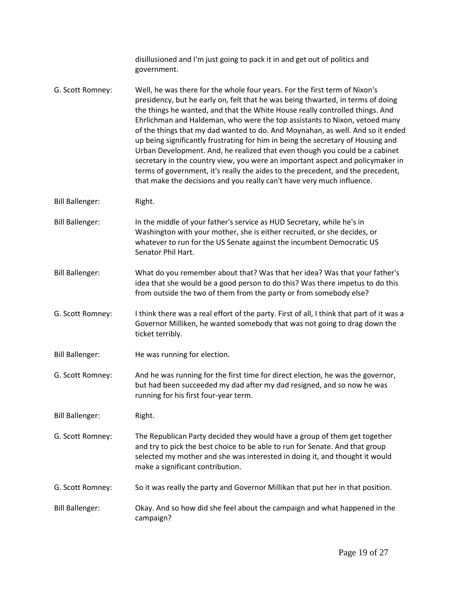|                        | disillusioned and I'm just going to pack it in and get out of politics and<br>government.                                                                                                                                                                                                                                                                                                                                                                                                                                                                                                                                                                                                                                                                                                                                       |
|------------------------|---------------------------------------------------------------------------------------------------------------------------------------------------------------------------------------------------------------------------------------------------------------------------------------------------------------------------------------------------------------------------------------------------------------------------------------------------------------------------------------------------------------------------------------------------------------------------------------------------------------------------------------------------------------------------------------------------------------------------------------------------------------------------------------------------------------------------------|
| G. Scott Romney:       | Well, he was there for the whole four years. For the first term of Nixon's<br>presidency, but he early on, felt that he was being thwarted, in terms of doing<br>the things he wanted, and that the White House really controlled things. And<br>Ehrlichman and Haldeman, who were the top assistants to Nixon, vetoed many<br>of the things that my dad wanted to do. And Moynahan, as well. And so it ended<br>up being significantly frustrating for him in being the secretary of Housing and<br>Urban Development. And, he realized that even though you could be a cabinet<br>secretary in the country view, you were an important aspect and policymaker in<br>terms of government, it's really the aides to the precedent, and the precedent,<br>that make the decisions and you really can't have very much influence. |
| <b>Bill Ballenger:</b> | Right.                                                                                                                                                                                                                                                                                                                                                                                                                                                                                                                                                                                                                                                                                                                                                                                                                          |
| <b>Bill Ballenger:</b> | In the middle of your father's service as HUD Secretary, while he's in<br>Washington with your mother, she is either recruited, or she decides, or<br>whatever to run for the US Senate against the incumbent Democratic US<br>Senator Phil Hart.                                                                                                                                                                                                                                                                                                                                                                                                                                                                                                                                                                               |
| <b>Bill Ballenger:</b> | What do you remember about that? Was that her idea? Was that your father's<br>idea that she would be a good person to do this? Was there impetus to do this<br>from outside the two of them from the party or from somebody else?                                                                                                                                                                                                                                                                                                                                                                                                                                                                                                                                                                                               |
| G. Scott Romney:       | I think there was a real effort of the party. First of all, I think that part of it was a<br>Governor Milliken, he wanted somebody that was not going to drag down the<br>ticket terribly.                                                                                                                                                                                                                                                                                                                                                                                                                                                                                                                                                                                                                                      |
| <b>Bill Ballenger:</b> | He was running for election.                                                                                                                                                                                                                                                                                                                                                                                                                                                                                                                                                                                                                                                                                                                                                                                                    |
| G. Scott Romney:       | And he was running for the first time for direct election, he was the governor,<br>but had been succeeded my dad after my dad resigned, and so now he was<br>running for his first four-year term.                                                                                                                                                                                                                                                                                                                                                                                                                                                                                                                                                                                                                              |
| <b>Bill Ballenger:</b> | Right.                                                                                                                                                                                                                                                                                                                                                                                                                                                                                                                                                                                                                                                                                                                                                                                                                          |
| G. Scott Romney:       | The Republican Party decided they would have a group of them get together<br>and try to pick the best choice to be able to run for Senate. And that group<br>selected my mother and she was interested in doing it, and thought it would<br>make a significant contribution.                                                                                                                                                                                                                                                                                                                                                                                                                                                                                                                                                    |
| G. Scott Romney:       | So it was really the party and Governor Millikan that put her in that position.                                                                                                                                                                                                                                                                                                                                                                                                                                                                                                                                                                                                                                                                                                                                                 |
| <b>Bill Ballenger:</b> | Okay. And so how did she feel about the campaign and what happened in the<br>campaign?                                                                                                                                                                                                                                                                                                                                                                                                                                                                                                                                                                                                                                                                                                                                          |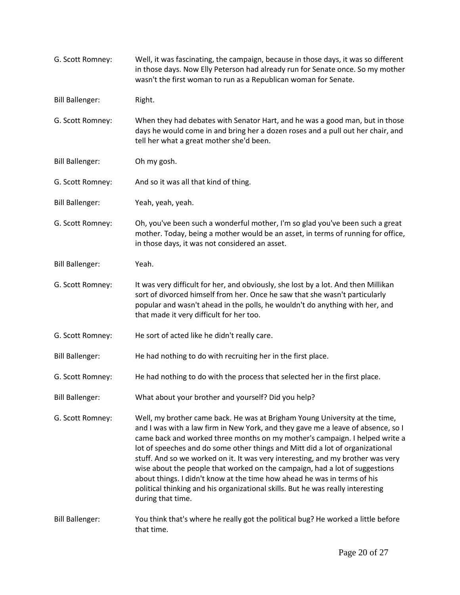| G. Scott Romney:       | Well, it was fascinating, the campaign, because in those days, it was so different<br>in those days. Now Elly Peterson had already run for Senate once. So my mother<br>wasn't the first woman to run as a Republican woman for Senate.                                                                                                                                                                                                                                                                                                                                                                                                                                               |
|------------------------|---------------------------------------------------------------------------------------------------------------------------------------------------------------------------------------------------------------------------------------------------------------------------------------------------------------------------------------------------------------------------------------------------------------------------------------------------------------------------------------------------------------------------------------------------------------------------------------------------------------------------------------------------------------------------------------|
| <b>Bill Ballenger:</b> | Right.                                                                                                                                                                                                                                                                                                                                                                                                                                                                                                                                                                                                                                                                                |
| G. Scott Romney:       | When they had debates with Senator Hart, and he was a good man, but in those<br>days he would come in and bring her a dozen roses and a pull out her chair, and<br>tell her what a great mother she'd been.                                                                                                                                                                                                                                                                                                                                                                                                                                                                           |
| <b>Bill Ballenger:</b> | Oh my gosh.                                                                                                                                                                                                                                                                                                                                                                                                                                                                                                                                                                                                                                                                           |
| G. Scott Romney:       | And so it was all that kind of thing.                                                                                                                                                                                                                                                                                                                                                                                                                                                                                                                                                                                                                                                 |
| <b>Bill Ballenger:</b> | Yeah, yeah, yeah.                                                                                                                                                                                                                                                                                                                                                                                                                                                                                                                                                                                                                                                                     |
| G. Scott Romney:       | Oh, you've been such a wonderful mother, I'm so glad you've been such a great<br>mother. Today, being a mother would be an asset, in terms of running for office,<br>in those days, it was not considered an asset.                                                                                                                                                                                                                                                                                                                                                                                                                                                                   |
| <b>Bill Ballenger:</b> | Yeah.                                                                                                                                                                                                                                                                                                                                                                                                                                                                                                                                                                                                                                                                                 |
| G. Scott Romney:       | It was very difficult for her, and obviously, she lost by a lot. And then Millikan<br>sort of divorced himself from her. Once he saw that she wasn't particularly<br>popular and wasn't ahead in the polls, he wouldn't do anything with her, and<br>that made it very difficult for her too.                                                                                                                                                                                                                                                                                                                                                                                         |
| G. Scott Romney:       | He sort of acted like he didn't really care.                                                                                                                                                                                                                                                                                                                                                                                                                                                                                                                                                                                                                                          |
| <b>Bill Ballenger:</b> | He had nothing to do with recruiting her in the first place.                                                                                                                                                                                                                                                                                                                                                                                                                                                                                                                                                                                                                          |
| G. Scott Romney:       | He had nothing to do with the process that selected her in the first place.                                                                                                                                                                                                                                                                                                                                                                                                                                                                                                                                                                                                           |
| <b>Bill Ballenger:</b> | What about your brother and yourself? Did you help?                                                                                                                                                                                                                                                                                                                                                                                                                                                                                                                                                                                                                                   |
| G. Scott Romney:       | Well, my brother came back. He was at Brigham Young University at the time,<br>and I was with a law firm in New York, and they gave me a leave of absence, so I<br>came back and worked three months on my mother's campaign. I helped write a<br>lot of speeches and do some other things and Mitt did a lot of organizational<br>stuff. And so we worked on it. It was very interesting, and my brother was very<br>wise about the people that worked on the campaign, had a lot of suggestions<br>about things. I didn't know at the time how ahead he was in terms of his<br>political thinking and his organizational skills. But he was really interesting<br>during that time. |
| <b>Bill Ballenger:</b> | You think that's where he really got the political bug? He worked a little before<br>that time.                                                                                                                                                                                                                                                                                                                                                                                                                                                                                                                                                                                       |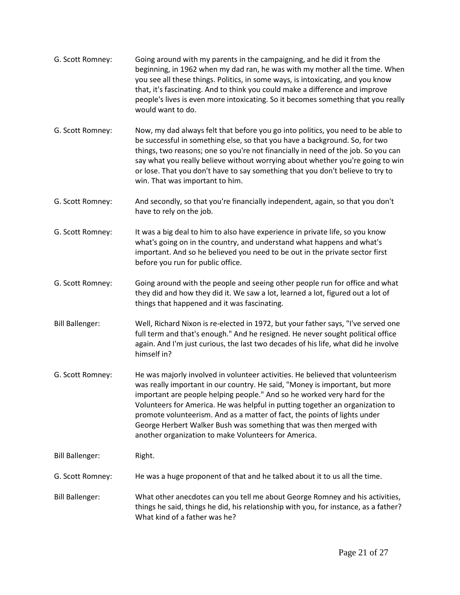| G. Scott Romney:       | Going around with my parents in the campaigning, and he did it from the<br>beginning, in 1962 when my dad ran, he was with my mother all the time. When<br>you see all these things. Politics, in some ways, is intoxicating, and you know<br>that, it's fascinating. And to think you could make a difference and improve<br>people's lives is even more intoxicating. So it becomes something that you really<br>would want to do.                                                                                                  |
|------------------------|---------------------------------------------------------------------------------------------------------------------------------------------------------------------------------------------------------------------------------------------------------------------------------------------------------------------------------------------------------------------------------------------------------------------------------------------------------------------------------------------------------------------------------------|
| G. Scott Romney:       | Now, my dad always felt that before you go into politics, you need to be able to<br>be successful in something else, so that you have a background. So, for two<br>things, two reasons; one so you're not financially in need of the job. So you can<br>say what you really believe without worrying about whether you're going to win<br>or lose. That you don't have to say something that you don't believe to try to<br>win. That was important to him.                                                                           |
| G. Scott Romney:       | And secondly, so that you're financially independent, again, so that you don't<br>have to rely on the job.                                                                                                                                                                                                                                                                                                                                                                                                                            |
| G. Scott Romney:       | It was a big deal to him to also have experience in private life, so you know<br>what's going on in the country, and understand what happens and what's<br>important. And so he believed you need to be out in the private sector first<br>before you run for public office.                                                                                                                                                                                                                                                          |
| G. Scott Romney:       | Going around with the people and seeing other people run for office and what<br>they did and how they did it. We saw a lot, learned a lot, figured out a lot of<br>things that happened and it was fascinating.                                                                                                                                                                                                                                                                                                                       |
| <b>Bill Ballenger:</b> | Well, Richard Nixon is re-elected in 1972, but your father says, "I've served one<br>full term and that's enough." And he resigned. He never sought political office<br>again. And I'm just curious, the last two decades of his life, what did he involve<br>himself in?                                                                                                                                                                                                                                                             |
| G. Scott Romney:       | He was majorly involved in volunteer activities. He believed that volunteerism<br>was really important in our country. He said, "Money is important, but more<br>important are people helping people." And so he worked very hard for the<br>Volunteers for America. He was helpful in putting together an organization to<br>promote volunteerism. And as a matter of fact, the points of lights under<br>George Herbert Walker Bush was something that was then merged with<br>another organization to make Volunteers for America. |
| <b>Bill Ballenger:</b> | Right.                                                                                                                                                                                                                                                                                                                                                                                                                                                                                                                                |
| G. Scott Romney:       | He was a huge proponent of that and he talked about it to us all the time.                                                                                                                                                                                                                                                                                                                                                                                                                                                            |
| <b>Bill Ballenger:</b> | What other anecdotes can you tell me about George Romney and his activities,<br>things he said, things he did, his relationship with you, for instance, as a father?<br>What kind of a father was he?                                                                                                                                                                                                                                                                                                                                 |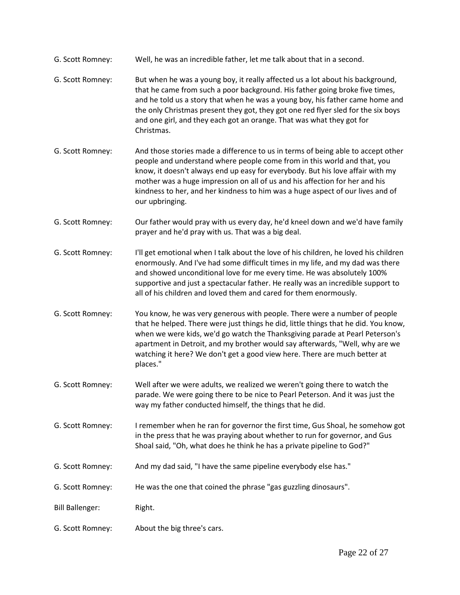- G. Scott Romney: Well, he was an incredible father, let me talk about that in a second.
- G. Scott Romney: But when he was a young boy, it really affected us a lot about his background, that he came from such a poor background. His father going broke five times, and he told us a story that when he was a young boy, his father came home and the only Christmas present they got, they got one red flyer sled for the six boys and one girl, and they each got an orange. That was what they got for Christmas.
- G. Scott Romney: And those stories made a difference to us in terms of being able to accept other people and understand where people come from in this world and that, you know, it doesn't always end up easy for everybody. But his love affair with my mother was a huge impression on all of us and his affection for her and his kindness to her, and her kindness to him was a huge aspect of our lives and of our upbringing.
- G. Scott Romney: Our father would pray with us every day, he'd kneel down and we'd have family prayer and he'd pray with us. That was a big deal.
- G. Scott Romney: I'll get emotional when I talk about the love of his children, he loved his children enormously. And I've had some difficult times in my life, and my dad was there and showed unconditional love for me every time. He was absolutely 100% supportive and just a spectacular father. He really was an incredible support to all of his children and loved them and cared for them enormously.
- G. Scott Romney: You know, he was very generous with people. There were a number of people that he helped. There were just things he did, little things that he did. You know, when we were kids, we'd go watch the Thanksgiving parade at Pearl Peterson's apartment in Detroit, and my brother would say afterwards, "Well, why are we watching it here? We don't get a good view here. There are much better at places."
- G. Scott Romney: Well after we were adults, we realized we weren't going there to watch the parade. We were going there to be nice to Pearl Peterson. And it was just the way my father conducted himself, the things that he did.
- G. Scott Romney: I remember when he ran for governor the first time, Gus Shoal, he somehow got in the press that he was praying about whether to run for governor, and Gus Shoal said, "Oh, what does he think he has a private pipeline to God?"
- G. Scott Romney: And my dad said, "I have the same pipeline everybody else has."
- G. Scott Romney: He was the one that coined the phrase "gas guzzling dinosaurs".
- Bill Ballenger: Right.
- G. Scott Romney: About the big three's cars.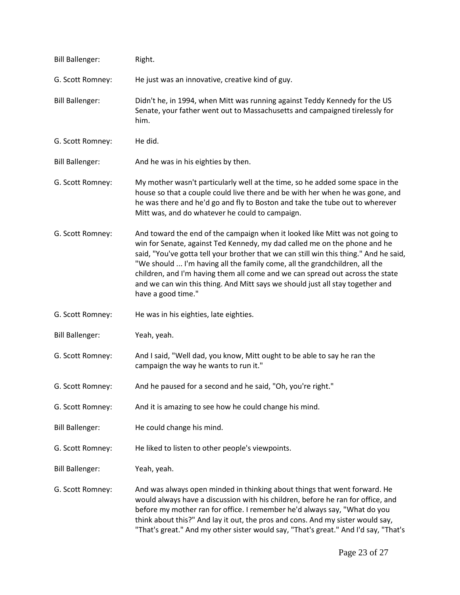| <b>Bill Ballenger:</b> | Right.                                                                                                                                                                                                                                                                                                                                                                                                                                                                                                                   |
|------------------------|--------------------------------------------------------------------------------------------------------------------------------------------------------------------------------------------------------------------------------------------------------------------------------------------------------------------------------------------------------------------------------------------------------------------------------------------------------------------------------------------------------------------------|
| G. Scott Romney:       | He just was an innovative, creative kind of guy.                                                                                                                                                                                                                                                                                                                                                                                                                                                                         |
| <b>Bill Ballenger:</b> | Didn't he, in 1994, when Mitt was running against Teddy Kennedy for the US<br>Senate, your father went out to Massachusetts and campaigned tirelessly for<br>him.                                                                                                                                                                                                                                                                                                                                                        |
| G. Scott Romney:       | He did.                                                                                                                                                                                                                                                                                                                                                                                                                                                                                                                  |
| <b>Bill Ballenger:</b> | And he was in his eighties by then.                                                                                                                                                                                                                                                                                                                                                                                                                                                                                      |
| G. Scott Romney:       | My mother wasn't particularly well at the time, so he added some space in the<br>house so that a couple could live there and be with her when he was gone, and<br>he was there and he'd go and fly to Boston and take the tube out to wherever<br>Mitt was, and do whatever he could to campaign.                                                                                                                                                                                                                        |
| G. Scott Romney:       | And toward the end of the campaign when it looked like Mitt was not going to<br>win for Senate, against Ted Kennedy, my dad called me on the phone and he<br>said, "You've gotta tell your brother that we can still win this thing." And he said,<br>"We should  I'm having all the family come, all the grandchildren, all the<br>children, and I'm having them all come and we can spread out across the state<br>and we can win this thing. And Mitt says we should just all stay together and<br>have a good time." |
| G. Scott Romney:       | He was in his eighties, late eighties.                                                                                                                                                                                                                                                                                                                                                                                                                                                                                   |
| <b>Bill Ballenger:</b> | Yeah, yeah.                                                                                                                                                                                                                                                                                                                                                                                                                                                                                                              |
| G. Scott Romney:       | And I said, "Well dad, you know, Mitt ought to be able to say he ran the<br>campaign the way he wants to run it."                                                                                                                                                                                                                                                                                                                                                                                                        |
| G. Scott Romney:       | And he paused for a second and he said, "Oh, you're right."                                                                                                                                                                                                                                                                                                                                                                                                                                                              |
| G. Scott Romney:       | And it is amazing to see how he could change his mind.                                                                                                                                                                                                                                                                                                                                                                                                                                                                   |
| <b>Bill Ballenger:</b> | He could change his mind.                                                                                                                                                                                                                                                                                                                                                                                                                                                                                                |
| G. Scott Romney:       | He liked to listen to other people's viewpoints.                                                                                                                                                                                                                                                                                                                                                                                                                                                                         |
| <b>Bill Ballenger:</b> | Yeah, yeah.                                                                                                                                                                                                                                                                                                                                                                                                                                                                                                              |
| G. Scott Romney:       | And was always open minded in thinking about things that went forward. He<br>would always have a discussion with his children, before he ran for office, and<br>before my mother ran for office. I remember he'd always say, "What do you<br>think about this?" And lay it out, the pros and cons. And my sister would say,<br>"That's great." And my other sister would say, "That's great." And I'd say, "That's                                                                                                       |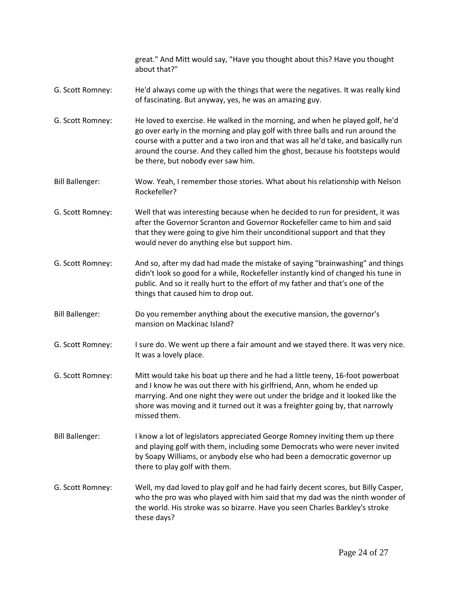|                        | great." And Mitt would say, "Have you thought about this? Have you thought<br>about that?"                                                                                                                                                                                                                                                                                  |
|------------------------|-----------------------------------------------------------------------------------------------------------------------------------------------------------------------------------------------------------------------------------------------------------------------------------------------------------------------------------------------------------------------------|
| G. Scott Romney:       | He'd always come up with the things that were the negatives. It was really kind<br>of fascinating. But anyway, yes, he was an amazing guy.                                                                                                                                                                                                                                  |
| G. Scott Romney:       | He loved to exercise. He walked in the morning, and when he played golf, he'd<br>go over early in the morning and play golf with three balls and run around the<br>course with a putter and a two iron and that was all he'd take, and basically run<br>around the course. And they called him the ghost, because his footsteps would<br>be there, but nobody ever saw him. |
| <b>Bill Ballenger:</b> | Wow. Yeah, I remember those stories. What about his relationship with Nelson<br>Rockefeller?                                                                                                                                                                                                                                                                                |
| G. Scott Romney:       | Well that was interesting because when he decided to run for president, it was<br>after the Governor Scranton and Governor Rockefeller came to him and said<br>that they were going to give him their unconditional support and that they<br>would never do anything else but support him.                                                                                  |
| G. Scott Romney:       | And so, after my dad had made the mistake of saying "brainwashing" and things<br>didn't look so good for a while, Rockefeller instantly kind of changed his tune in<br>public. And so it really hurt to the effort of my father and that's one of the<br>things that caused him to drop out.                                                                                |
| <b>Bill Ballenger:</b> | Do you remember anything about the executive mansion, the governor's<br>mansion on Mackinac Island?                                                                                                                                                                                                                                                                         |
| G. Scott Romney:       | I sure do. We went up there a fair amount and we stayed there. It was very nice.<br>It was a lovely place.                                                                                                                                                                                                                                                                  |
| G. Scott Romney:       | Mitt would take his boat up there and he had a little teeny, 16-foot powerboat<br>and I know he was out there with his girlfriend, Ann, whom he ended up<br>marrying. And one night they were out under the bridge and it looked like the<br>shore was moving and it turned out it was a freighter going by, that narrowly<br>missed them.                                  |
| <b>Bill Ballenger:</b> | I know a lot of legislators appreciated George Romney inviting them up there<br>and playing golf with them, including some Democrats who were never invited<br>by Soapy Williams, or anybody else who had been a democratic governor up<br>there to play golf with them.                                                                                                    |
| G. Scott Romney:       | Well, my dad loved to play golf and he had fairly decent scores, but Billy Casper,<br>who the pro was who played with him said that my dad was the ninth wonder of<br>the world. His stroke was so bizarre. Have you seen Charles Barkley's stroke<br>these days?                                                                                                           |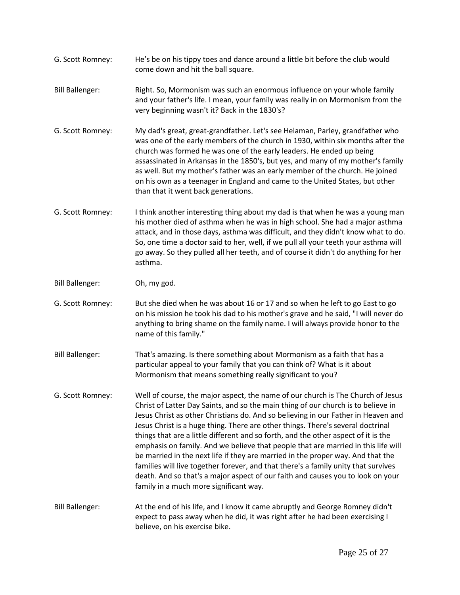- G. Scott Romney: He's be on his tippy toes and dance around a little bit before the club would come down and hit the ball square.
- Bill Ballenger: Right. So, Mormonism was such an enormous influence on your whole family and your father's life. I mean, your family was really in on Mormonism from the very beginning wasn't it? Back in the 1830's?
- G. Scott Romney: My dad's great, great-grandfather. Let's see Helaman, Parley, grandfather who was one of the early members of the church in 1930, within six months after the church was formed he was one of the early leaders. He ended up being assassinated in Arkansas in the 1850's, but yes, and many of my mother's family as well. But my mother's father was an early member of the church. He joined on his own as a teenager in England and came to the United States, but other than that it went back generations.
- G. Scott Romney: I think another interesting thing about my dad is that when he was a young man his mother died of asthma when he was in high school. She had a major asthma attack, and in those days, asthma was difficult, and they didn't know what to do. So, one time a doctor said to her, well, if we pull all your teeth your asthma will go away. So they pulled all her teeth, and of course it didn't do anything for her asthma.
- Bill Ballenger: Oh, my god.
- G. Scott Romney: But she died when he was about 16 or 17 and so when he left to go East to go on his mission he took his dad to his mother's grave and he said, "I will never do anything to bring shame on the family name. I will always provide honor to the name of this family."
- Bill Ballenger: That's amazing. Is there something about Mormonism as a faith that has a particular appeal to your family that you can think of? What is it about Mormonism that means something really significant to you?
- G. Scott Romney: Well of course, the major aspect, the name of our church is The Church of Jesus Christ of Latter Day Saints, and so the main thing of our church is to believe in Jesus Christ as other Christians do. And so believing in our Father in Heaven and Jesus Christ is a huge thing. There are other things. There's several doctrinal things that are a little different and so forth, and the other aspect of it is the emphasis on family. And we believe that people that are married in this life will be married in the next life if they are married in the proper way. And that the families will live together forever, and that there's a family unity that survives death. And so that's a major aspect of our faith and causes you to look on your family in a much more significant way.
- Bill Ballenger: At the end of his life, and I know it came abruptly and George Romney didn't expect to pass away when he did, it was right after he had been exercising I believe, on his exercise bike.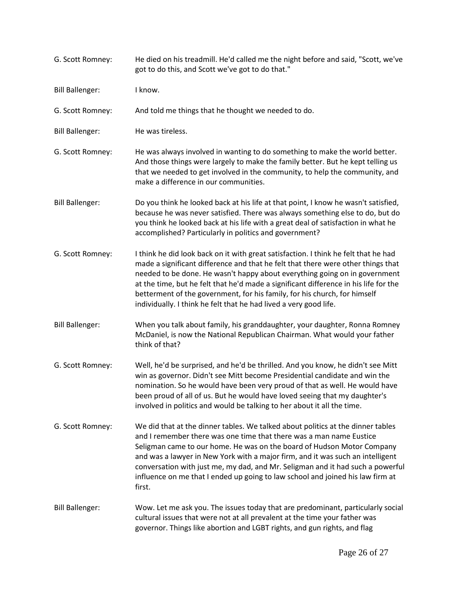| G. Scott Romney:       | He died on his treadmill. He'd called me the night before and said, "Scott, we've<br>got to do this, and Scott we've got to do that."                                                                                                                                                                                                                                                                                                                                                            |
|------------------------|--------------------------------------------------------------------------------------------------------------------------------------------------------------------------------------------------------------------------------------------------------------------------------------------------------------------------------------------------------------------------------------------------------------------------------------------------------------------------------------------------|
| <b>Bill Ballenger:</b> | I know.                                                                                                                                                                                                                                                                                                                                                                                                                                                                                          |
| G. Scott Romney:       | And told me things that he thought we needed to do.                                                                                                                                                                                                                                                                                                                                                                                                                                              |
| <b>Bill Ballenger:</b> | He was tireless.                                                                                                                                                                                                                                                                                                                                                                                                                                                                                 |
| G. Scott Romney:       | He was always involved in wanting to do something to make the world better.<br>And those things were largely to make the family better. But he kept telling us<br>that we needed to get involved in the community, to help the community, and<br>make a difference in our communities.                                                                                                                                                                                                           |
| <b>Bill Ballenger:</b> | Do you think he looked back at his life at that point, I know he wasn't satisfied,<br>because he was never satisfied. There was always something else to do, but do<br>you think he looked back at his life with a great deal of satisfaction in what he<br>accomplished? Particularly in politics and government?                                                                                                                                                                               |
| G. Scott Romney:       | I think he did look back on it with great satisfaction. I think he felt that he had<br>made a significant difference and that he felt that there were other things that<br>needed to be done. He wasn't happy about everything going on in government<br>at the time, but he felt that he'd made a significant difference in his life for the<br>betterment of the government, for his family, for his church, for himself<br>individually. I think he felt that he had lived a very good life.  |
| <b>Bill Ballenger:</b> | When you talk about family, his granddaughter, your daughter, Ronna Romney<br>McDaniel, is now the National Republican Chairman. What would your father<br>think of that?                                                                                                                                                                                                                                                                                                                        |
| G. Scott Romney:       | Well, he'd be surprised, and he'd be thrilled. And you know, he didn't see Mitt<br>win as governor. Didn't see Mitt become Presidential candidate and win the<br>nomination. So he would have been very proud of that as well. He would have<br>been proud of all of us. But he would have loved seeing that my daughter's<br>involved in politics and would be talking to her about it all the time.                                                                                            |
| G. Scott Romney:       | We did that at the dinner tables. We talked about politics at the dinner tables<br>and I remember there was one time that there was a man name Eustice<br>Seligman came to our home. He was on the board of Hudson Motor Company<br>and was a lawyer in New York with a major firm, and it was such an intelligent<br>conversation with just me, my dad, and Mr. Seligman and it had such a powerful<br>influence on me that I ended up going to law school and joined his law firm at<br>first. |
| <b>Bill Ballenger:</b> | Wow. Let me ask you. The issues today that are predominant, particularly social<br>cultural issues that were not at all prevalent at the time your father was<br>governor. Things like abortion and LGBT rights, and gun rights, and flag                                                                                                                                                                                                                                                        |